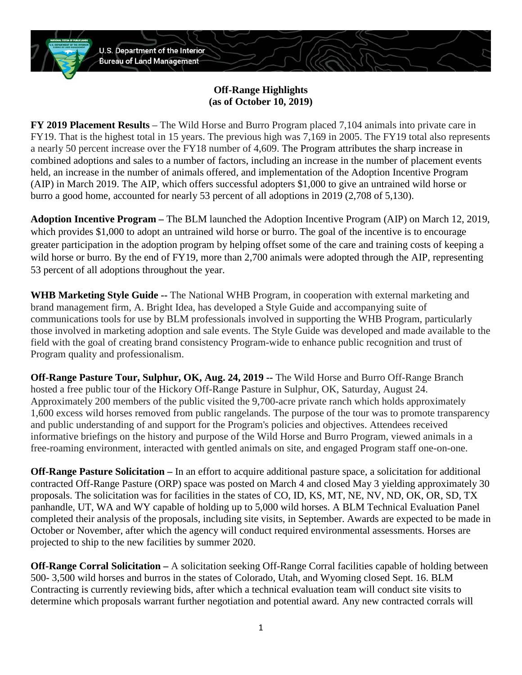**U.S. Department of the Interior Bureau of Land Management** 

## **Off-Range Highlights (as of October 10, 2019)**

**FY 2019 Placement Results** – The Wild Horse and Burro Program placed 7,104 animals into private care in FY19. That is the highest total in 15 years. The previous high was 7,169 in 2005. The FY19 total also represents a nearly 50 percent increase over the FY18 number of 4,609. The Program attributes the sharp increase in combined adoptions and sales to a number of factors, including an increase in the number of placement events held, an increase in the number of animals offered, and implementation of the Adoption Incentive Program (AIP) in March 2019. The AIP, which offers successful adopters \$1,000 to give an untrained wild horse or burro a good home, accounted for nearly 53 percent of all adoptions in 2019 (2,708 of 5,130).

**Adoption Incentive Program –** The BLM launched the Adoption Incentive Program (AIP) on March 12, 2019, which provides \$1,000 to adopt an untrained wild horse or burro. The goal of the incentive is to encourage greater participation in the adoption program by helping offset some of the care and training costs of keeping a wild horse or burro. By the end of FY19, more than 2,700 animals were adopted through the AIP, representing 53 percent of all adoptions throughout the year.

**WHB Marketing Style Guide --** The National WHB Program, in cooperation with external marketing and brand management firm, A. Bright Idea, has developed a Style Guide and accompanying suite of communications tools for use by BLM professionals involved in supporting the WHB Program, particularly those involved in marketing adoption and sale events. The Style Guide was developed and made available to the field with the goal of creating brand consistency Program-wide to enhance public recognition and trust of Program quality and professionalism.

**Off-Range Pasture Tour, Sulphur, OK, Aug. 24, 2019 --** The Wild Horse and Burro Off-Range Branch hosted a free public tour of the Hickory Off-Range Pasture in Sulphur, OK, Saturday, August 24. Approximately 200 members of the public visited the 9,700-acre private ranch which holds approximately 1,600 excess wild horses removed from public rangelands. The purpose of the tour was to promote transparency and public understanding of and support for the Program's policies and objectives. Attendees received informative briefings on the history and purpose of the Wild Horse and Burro Program, viewed animals in a free-roaming environment, interacted with gentled animals on site, and engaged Program staff one-on-one.

**Off-Range Pasture Solicitation –** In an effort to acquire additional pasture space, a solicitation for additional contracted Off-Range Pasture (ORP) space was posted on March 4 and closed May 3 yielding approximately 30 proposals. The solicitation was for facilities in the states of CO, ID, KS, MT, NE, NV, ND, OK, OR, SD, TX panhandle, UT, WA and WY capable of holding up to 5,000 wild horses. A BLM Technical Evaluation Panel completed their analysis of the proposals, including site visits, in September. Awards are expected to be made in October or November, after which the agency will conduct required environmental assessments. Horses are projected to ship to the new facilities by summer 2020.

**Off-Range Corral Solicitation –** A solicitation seeking Off-Range Corral facilities capable of holding between 500- 3,500 wild horses and burros in the states of Colorado, Utah, and Wyoming closed Sept. 16. BLM Contracting is currently reviewing bids, after which a technical evaluation team will conduct site visits to determine which proposals warrant further negotiation and potential award. Any new contracted corrals will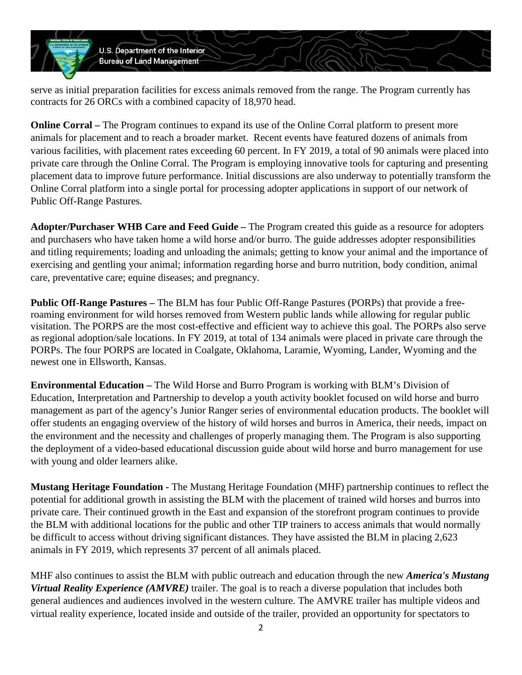U.S. Department of the Interior **Bureau of Land Management** 

serve as initial preparation facilities for excess animals removed from the range. The Program currently has contracts for 26 ORCs with a combined capacity of 18,970 head.

**Online Corral –** The Program continues to expand its use of the Online Corral platform to present more animals for placement and to reach a broader market. Recent events have featured dozens of animals from various facilities, with placement rates exceeding 60 percent. In FY 2019, a total of 90 animals were placed into private care through the Online Corral. The Program is employing innovative tools for capturing and presenting placement data to improve future performance. Initial discussions are also underway to potentially transform the Online Corral platform into a single portal for processing adopter applications in support of our network of Public Off-Range Pastures.

**Adopter/Purchaser WHB Care and Feed Guide –** The Program created this guide as a resource for adopters and purchasers who have taken home a wild horse and/or burro. The guide addresses adopter responsibilities and titling requirements; loading and unloading the animals; getting to know your animal and the importance of exercising and gentling your animal; information regarding horse and burro nutrition, body condition, animal care, preventative care; equine diseases; and pregnancy.

**Public Off-Range Pastures –** The BLM has four Public Off-Range Pastures (PORPs) that provide a freeroaming environment for wild horses removed from Western public lands while allowing for regular public visitation. The PORPS are the most cost-effective and efficient way to achieve this goal. The PORPs also serve as regional adoption/sale locations. In FY 2019, at total of 134 animals were placed in private care through the PORPs. The four PORPS are located in Coalgate, Oklahoma, Laramie, Wyoming, Lander, Wyoming and the newest one in Ellsworth, Kansas.

**Environmental Education –** The Wild Horse and Burro Program is working with BLM's Division of Education, Interpretation and Partnership to develop a youth activity booklet focused on wild horse and burro management as part of the agency's Junior Ranger series of environmental education products. The booklet will offer students an engaging overview of the history of wild horses and burros in America, their needs, impact on the environment and the necessity and challenges of properly managing them. The Program is also supporting the deployment of a video-based educational discussion guide about wild horse and burro management for use with young and older learners alike.

**Mustang Heritage Foundation -** The Mustang Heritage Foundation (MHF) partnership continues to reflect the potential for additional growth in assisting the BLM with the placement of trained wild horses and burros into private care. Their continued growth in the East and expansion of the storefront program continues to provide the BLM with additional locations for the public and other TIP trainers to access animals that would normally be difficult to access without driving significant distances. They have assisted the BLM in placing 2,623 animals in FY 2019, which represents 37 percent of all animals placed.

MHF also continues to assist the BLM with public outreach and education through the new *America's Mustang Virtual Reality Experience (AMVRE)* trailer. The goal is to reach a diverse population that includes both general audiences and audiences involved in the western culture. The AMVRE trailer has multiple videos and virtual reality experience, located inside and outside of the trailer, provided an opportunity for spectators to